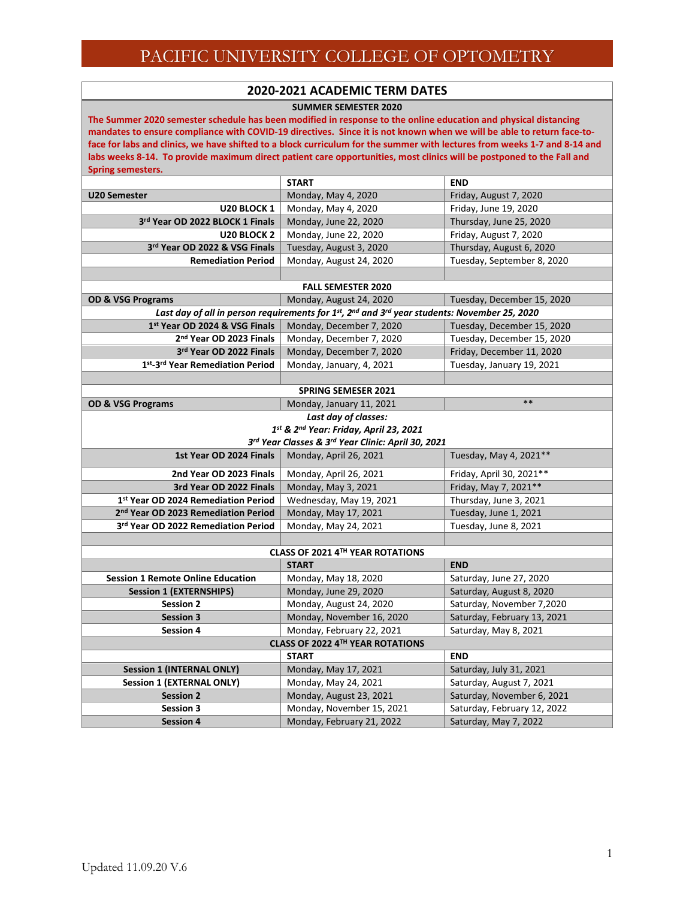#### **2020-2021 ACADEMIC TERM DATES**

**SUMMER SEMESTER 2020**

**The Summer 2020 semester schedule has been modified in response to the online education and physical distancing mandates to ensure compliance with COVID-19 directives. Since it is not known when we will be able to return face-toface for labs and clinics, we have shifted to a block curriculum for the summer with lectures from weeks 1-7 and 8-14 and labs weeks 8-14. To provide maximum direct patient care opportunities, most clinics will be postponed to the Fall and Spring semesters.** 

|                                                 | <b>START</b>                                                                                 | <b>END</b>                  |
|-------------------------------------------------|----------------------------------------------------------------------------------------------|-----------------------------|
| <b>U20 Semester</b>                             | Monday, May 4, 2020                                                                          | Friday, August 7, 2020      |
| U20 BLOCK 1                                     | Monday, May 4, 2020                                                                          | Friday, June 19, 2020       |
| 3rd Year OD 2022 BLOCK 1 Finals                 | Monday, June 22, 2020                                                                        | Thursday, June 25, 2020     |
| U20 BLOCK 2                                     | Monday, June 22, 2020                                                                        | Friday, August 7, 2020      |
| 3rd Year OD 2022 & VSG Finals                   | Tuesday, August 3, 2020                                                                      | Thursday, August 6, 2020    |
| <b>Remediation Period</b>                       | Monday, August 24, 2020                                                                      | Tuesday, September 8, 2020  |
|                                                 |                                                                                              |                             |
|                                                 | <b>FALL SEMESTER 2020</b>                                                                    |                             |
| <b>OD &amp; VSG Programs</b>                    | Monday, August 24, 2020                                                                      | Tuesday, December 15, 2020  |
|                                                 | Last day of all in person requirements for 1st, 2nd and 3rd year students: November 25, 2020 |                             |
| 1st Year OD 2024 & VSG Finals                   | Monday, December 7, 2020                                                                     | Tuesday, December 15, 2020  |
| 2 <sup>nd</sup> Year OD 2023 Finals             | Monday, December 7, 2020                                                                     | Tuesday, December 15, 2020  |
| 3rd Year OD 2022 Finals                         | Monday, December 7, 2020                                                                     | Friday, December 11, 2020   |
| 1st-3rd Year Remediation Period                 | Monday, January, 4, 2021                                                                     | Tuesday, January 19, 2021   |
|                                                 |                                                                                              |                             |
|                                                 | <b>SPRING SEMESER 2021</b>                                                                   |                             |
| <b>OD &amp; VSG Programs</b>                    | Monday, January 11, 2021                                                                     | $***$                       |
|                                                 | Last day of classes:                                                                         |                             |
|                                                 | 1st & 2nd Year: Friday, April 23, 2021                                                       |                             |
|                                                 | 3rd Year Classes & 3rd Year Clinic: April 30, 2021                                           |                             |
| 1st Year OD 2024 Finals                         | Monday, April 26, 2021                                                                       | Tuesday, May 4, 2021**      |
| 2nd Year OD 2023 Finals                         | Monday, April 26, 2021                                                                       | Friday, April 30, 2021**    |
| 3rd Year OD 2022 Finals                         | Monday, May 3, 2021                                                                          | Friday, May 7, 2021**       |
| 1st Year OD 2024 Remediation Period             | Wednesday, May 19, 2021                                                                      | Thursday, June 3, 2021      |
| 2 <sup>nd</sup> Year OD 2023 Remediation Period | Monday, May 17, 2021                                                                         | Tuesday, June 1, 2021       |
| 3rd Year OD 2022 Remediation Period             | Monday, May 24, 2021                                                                         | Tuesday, June 8, 2021       |
|                                                 |                                                                                              |                             |
|                                                 | CLASS OF 2021 4TH YEAR ROTATIONS                                                             |                             |
|                                                 | <b>START</b>                                                                                 | <b>END</b>                  |
| <b>Session 1 Remote Online Education</b>        | Monday, May 18, 2020                                                                         | Saturday, June 27, 2020     |
| <b>Session 1 (EXTERNSHIPS)</b>                  | Monday, June 29, 2020                                                                        | Saturday, August 8, 2020    |
| <b>Session 2</b>                                | Monday, August 24, 2020                                                                      | Saturday, November 7,2020   |
| <b>Session 3</b>                                | Monday, November 16, 2020                                                                    | Saturday, February 13, 2021 |
| <b>Session 4</b>                                | Monday, February 22, 2021                                                                    | Saturday, May 8, 2021       |
|                                                 | <b>CLASS OF 2022 4TH YEAR ROTATIONS</b>                                                      |                             |
|                                                 | <b>START</b>                                                                                 | <b>END</b>                  |
| <b>Session 1 (INTERNAL ONLY)</b>                | Monday, May 17, 2021                                                                         | Saturday, July 31, 2021     |
| <b>Session 1 (EXTERNAL ONLY)</b>                | Monday, May 24, 2021                                                                         | Saturday, August 7, 2021    |
| <b>Session 2</b>                                | Monday, August 23, 2021                                                                      | Saturday, November 6, 2021  |
| <b>Session 3</b>                                | Monday, November 15, 2021                                                                    | Saturday, February 12, 2022 |
| <b>Session 4</b>                                | Monday, February 21, 2022                                                                    | Saturday, May 7, 2022       |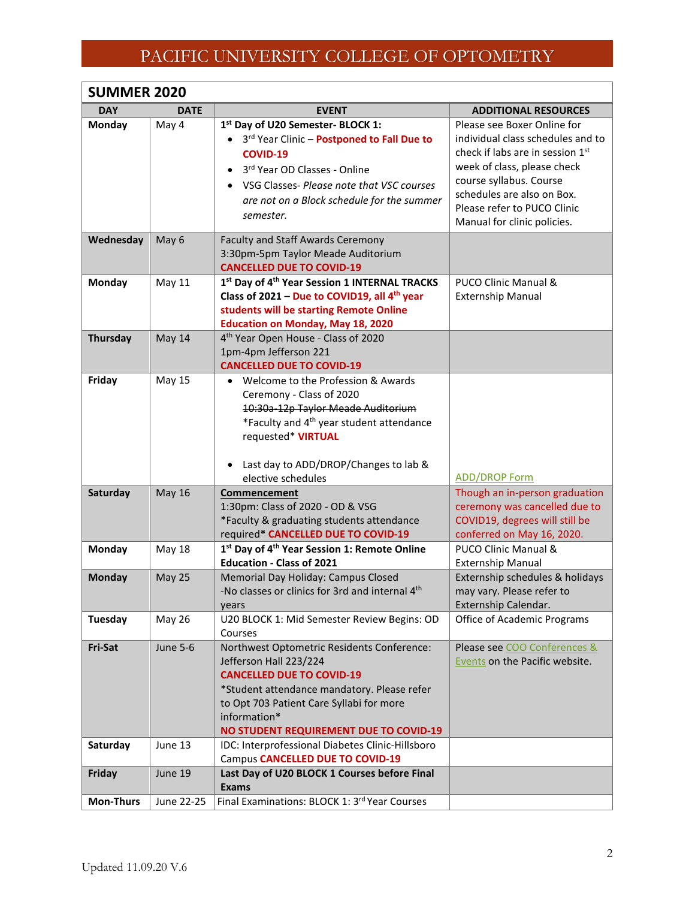| <b>SUMMER 2020</b> |                 |                                                                                                                                                                                                                                                                      |                                                                                                                                                                                                                                                            |
|--------------------|-----------------|----------------------------------------------------------------------------------------------------------------------------------------------------------------------------------------------------------------------------------------------------------------------|------------------------------------------------------------------------------------------------------------------------------------------------------------------------------------------------------------------------------------------------------------|
| <b>DAY</b>         | <b>DATE</b>     | <b>EVENT</b>                                                                                                                                                                                                                                                         | <b>ADDITIONAL RESOURCES</b>                                                                                                                                                                                                                                |
| Monday             | May 4           | 1st Day of U20 Semester- BLOCK 1:<br>3rd Year Clinic - Postponed to Fall Due to<br>$\bullet$<br><b>COVID-19</b><br>3rd Year OD Classes - Online<br>$\bullet$<br>VSG Classes- Please note that VSC courses<br>are not on a Block schedule for the summer<br>semester. | Please see Boxer Online for<br>individual class schedules and to<br>check if labs are in session 1st<br>week of class, please check<br>course syllabus. Course<br>schedules are also on Box.<br>Please refer to PUCO Clinic<br>Manual for clinic policies. |
| Wednesday          | May 6           | <b>Faculty and Staff Awards Ceremony</b><br>3:30pm-5pm Taylor Meade Auditorium<br><b>CANCELLED DUE TO COVID-19</b>                                                                                                                                                   |                                                                                                                                                                                                                                                            |
| <b>Monday</b>      | <b>May 11</b>   | 1st Day of 4 <sup>th</sup> Year Session 1 INTERNAL TRACKS<br>Class of 2021 - Due to COVID19, all 4th year<br>students will be starting Remote Online<br><b>Education on Monday, May 18, 2020</b>                                                                     | PUCO Clinic Manual &<br><b>Externship Manual</b>                                                                                                                                                                                                           |
| <b>Thursday</b>    | May 14          | 4 <sup>th</sup> Year Open House - Class of 2020<br>1pm-4pm Jefferson 221<br><b>CANCELLED DUE TO COVID-19</b>                                                                                                                                                         |                                                                                                                                                                                                                                                            |
| Friday             | <b>May 15</b>   | Welcome to the Profession & Awards<br>Ceremony - Class of 2020<br>10:30a-12p Taylor Meade Auditorium<br>*Faculty and 4 <sup>th</sup> year student attendance<br>requested* VIRTUAL<br>Last day to ADD/DROP/Changes to lab &                                          |                                                                                                                                                                                                                                                            |
|                    |                 | elective schedules                                                                                                                                                                                                                                                   | <b>ADD/DROP Form</b>                                                                                                                                                                                                                                       |
| Saturday           | <b>May 16</b>   | Commencement<br>1:30pm: Class of 2020 - OD & VSG<br>*Faculty & graduating students attendance<br>required* CANCELLED DUE TO COVID-19                                                                                                                                 | Though an in-person graduation<br>ceremony was cancelled due to<br>COVID19, degrees will still be<br>conferred on May 16, 2020.                                                                                                                            |
| Monday             | <b>May 18</b>   | 1st Day of 4 <sup>th</sup> Year Session 1: Remote Online                                                                                                                                                                                                             | <b>PUCO Clinic Manual &amp;</b>                                                                                                                                                                                                                            |
| <b>Monday</b>      | <b>May 25</b>   | <b>Education - Class of 2021</b><br>Memorial Day Holiday: Campus Closed<br>-No classes or clinics for 3rd and internal 4 <sup>th</sup><br>years                                                                                                                      | <b>Externship Manual</b><br>Externship schedules & holidays<br>may vary. Please refer to<br>Externship Calendar.                                                                                                                                           |
| Tuesday            | <b>May 26</b>   | U20 BLOCK 1: Mid Semester Review Begins: OD<br>Courses                                                                                                                                                                                                               | Office of Academic Programs                                                                                                                                                                                                                                |
| Fri-Sat            | <b>June 5-6</b> | Northwest Optometric Residents Conference:<br>Jefferson Hall 223/224<br><b>CANCELLED DUE TO COVID-19</b><br>*Student attendance mandatory. Please refer<br>to Opt 703 Patient Care Syllabi for more<br>information*<br><b>NO STUDENT REQUIREMENT DUE TO COVID-19</b> | Please see COO Conferences &<br><b>Events on the Pacific website.</b>                                                                                                                                                                                      |
| Saturday           | June 13         | IDC: Interprofessional Diabetes Clinic-Hillsboro<br>Campus CANCELLED DUE TO COVID-19                                                                                                                                                                                 |                                                                                                                                                                                                                                                            |
| Friday             | June 19         | Last Day of U20 BLOCK 1 Courses before Final<br><b>Exams</b>                                                                                                                                                                                                         |                                                                                                                                                                                                                                                            |
| <b>Mon-Thurs</b>   | June 22-25      | Final Examinations: BLOCK 1: 3rd Year Courses                                                                                                                                                                                                                        |                                                                                                                                                                                                                                                            |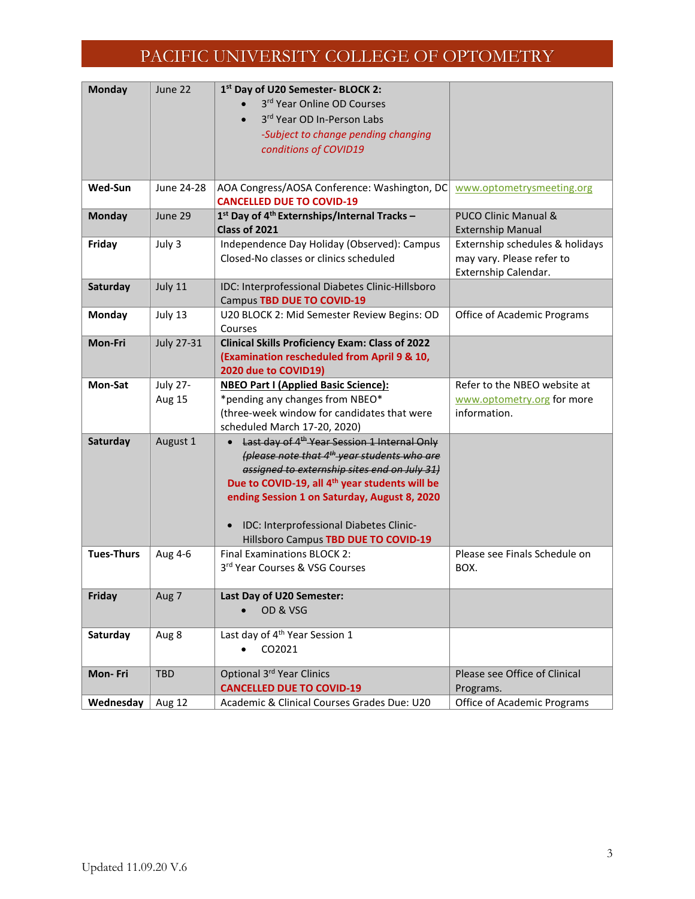| <b>Monday</b>     | June 22           | 1st Day of U20 Semester- BLOCK 2:                                              |                                            |
|-------------------|-------------------|--------------------------------------------------------------------------------|--------------------------------------------|
|                   |                   | 3rd Year Online OD Courses                                                     |                                            |
|                   |                   | 3rd Year OD In-Person Labs                                                     |                                            |
|                   |                   | -Subject to change pending changing                                            |                                            |
|                   |                   | conditions of COVID19                                                          |                                            |
|                   |                   |                                                                                |                                            |
| Wed-Sun           | June 24-28        | AOA Congress/AOSA Conference: Washington, DC                                   | www.optometrysmeeting.org                  |
|                   |                   | <b>CANCELLED DUE TO COVID-19</b>                                               |                                            |
| <b>Monday</b>     | June 29           | 1st Day of 4 <sup>th</sup> Externships/Internal Tracks -                       | <b>PUCO Clinic Manual &amp;</b>            |
|                   |                   | Class of 2021                                                                  | <b>Externship Manual</b>                   |
| Friday            | July 3            | Independence Day Holiday (Observed): Campus                                    | Externship schedules & holidays            |
|                   |                   | Closed-No classes or clinics scheduled                                         | may vary. Please refer to                  |
|                   |                   |                                                                                | Externship Calendar.                       |
| Saturday          | July 11           | IDC: Interprofessional Diabetes Clinic-Hillsboro                               |                                            |
|                   |                   | Campus TBD DUE TO COVID-19                                                     |                                            |
| Monday            | July 13           | U20 BLOCK 2: Mid Semester Review Begins: OD                                    | Office of Academic Programs                |
|                   |                   | Courses                                                                        |                                            |
| Mon-Fri           | <b>July 27-31</b> | <b>Clinical Skills Proficiency Exam: Class of 2022</b>                         |                                            |
|                   |                   | (Examination rescheduled from April 9 & 10,                                    |                                            |
|                   |                   | 2020 due to COVID19)                                                           |                                            |
| Mon-Sat           | <b>July 27-</b>   | <b>NBEO Part I (Applied Basic Science):</b>                                    | Refer to the NBEO website at               |
|                   | Aug 15            | *pending any changes from NBEO*<br>(three-week window for candidates that were | www.optometry.org for more<br>information. |
|                   |                   | scheduled March 17-20, 2020)                                                   |                                            |
| Saturday          | August 1          | Last day of 4 <sup>th</sup> Year Session 1 Internal Only                       |                                            |
|                   |                   | (please note that 4 <sup>th</sup> year students who are                        |                                            |
|                   |                   | assigned to externship sites end on July 31)                                   |                                            |
|                   |                   | Due to COVID-19, all 4 <sup>th</sup> year students will be                     |                                            |
|                   |                   | ending Session 1 on Saturday, August 8, 2020                                   |                                            |
|                   |                   |                                                                                |                                            |
|                   |                   | IDC: Interprofessional Diabetes Clinic-                                        |                                            |
|                   |                   | Hillsboro Campus TBD DUE TO COVID-19                                           |                                            |
| <b>Tues-Thurs</b> | Aug 4-6           | <b>Final Examinations BLOCK 2:</b>                                             | Please see Finals Schedule on              |
|                   |                   | 3rd Year Courses & VSG Courses                                                 | BOX.                                       |
|                   |                   |                                                                                |                                            |
| Friday            | Aug 7             | Last Day of U20 Semester:                                                      |                                            |
|                   |                   | OD & VSG                                                                       |                                            |
|                   |                   |                                                                                |                                            |
| Saturday          | Aug 8             | Last day of 4 <sup>th</sup> Year Session 1                                     |                                            |
|                   |                   | CO2021                                                                         |                                            |
| Mon-Fri           | <b>TBD</b>        | Optional 3rd Year Clinics                                                      | Please see Office of Clinical              |
|                   |                   | <b>CANCELLED DUE TO COVID-19</b>                                               | Programs.                                  |
| Wednesday         | Aug 12            | Academic & Clinical Courses Grades Due: U20                                    | <b>Office of Academic Programs</b>         |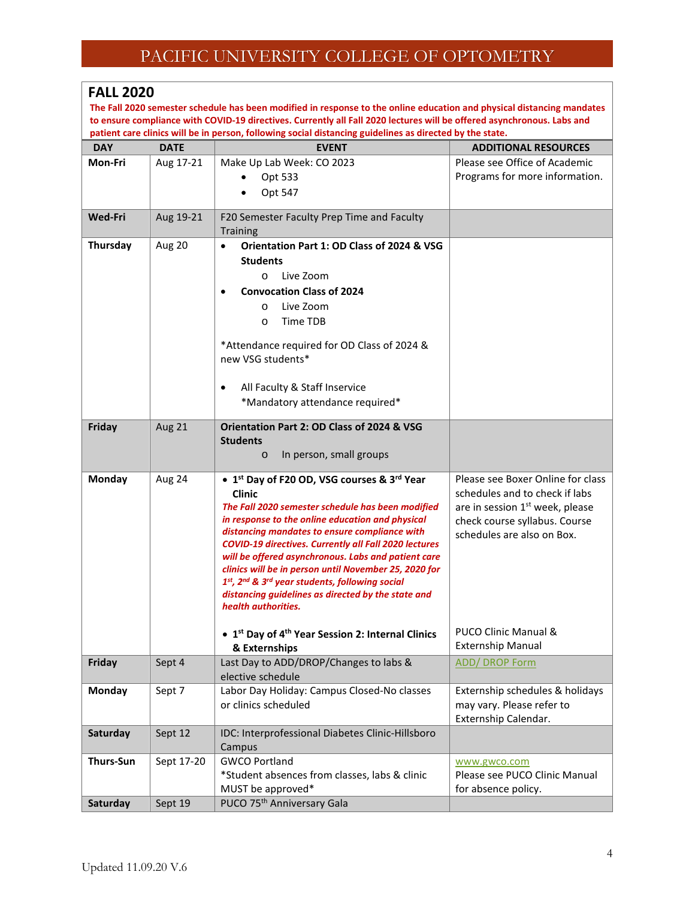#### **FALL 2020**

**The Fall 2020 semester schedule has been modified in response to the online education and physical distancing mandates to ensure compliance with COVID-19 directives. Currently all Fall 2020 lectures will be offered asynchronous. Labs and patient care clinics will be in person, following social distancing guidelines as directed by the state.** 

| <b>DAY</b>       | <b>DATE</b> | <b>EVENT</b>                                                                                         | <b>ADDITIONAL RESOURCES</b>                 |
|------------------|-------------|------------------------------------------------------------------------------------------------------|---------------------------------------------|
| Mon-Fri          | Aug 17-21   | Make Up Lab Week: CO 2023                                                                            | Please see Office of Academic               |
|                  |             | Opt 533                                                                                              | Programs for more information.              |
|                  |             | Opt 547                                                                                              |                                             |
| <b>Wed-Fri</b>   | Aug 19-21   | F20 Semester Faculty Prep Time and Faculty                                                           |                                             |
|                  |             | <b>Training</b>                                                                                      |                                             |
| Thursday         | Aug 20      | $\bullet$<br>Orientation Part 1: OD Class of 2024 & VSG                                              |                                             |
|                  |             | <b>Students</b>                                                                                      |                                             |
|                  |             | Live Zoom<br>$\circ$                                                                                 |                                             |
|                  |             | <b>Convocation Class of 2024</b>                                                                     |                                             |
|                  |             | Live Zoom<br>$\circ$                                                                                 |                                             |
|                  |             | Time TDB<br>$\circ$                                                                                  |                                             |
|                  |             | *Attendance required for OD Class of 2024 &                                                          |                                             |
|                  |             | new VSG students*                                                                                    |                                             |
|                  |             |                                                                                                      |                                             |
|                  |             | All Faculty & Staff Inservice<br>$\bullet$<br>*Mandatory attendance required*                        |                                             |
|                  |             |                                                                                                      |                                             |
| Friday           | Aug 21      | Orientation Part 2: OD Class of 2024 & VSG                                                           |                                             |
|                  |             | <b>Students</b>                                                                                      |                                             |
|                  |             | In person, small groups<br>$\circ$                                                                   |                                             |
| Monday           | Aug 24      | • 1 <sup>st</sup> Day of F20 OD, VSG courses & 3 <sup>rd</sup> Year                                  | Please see Boxer Online for class           |
|                  |             | <b>Clinic</b>                                                                                        | schedules and to check if labs              |
|                  |             | The Fall 2020 semester schedule has been modified                                                    | are in session 1 <sup>st</sup> week, please |
|                  |             | in response to the online education and physical<br>distancing mandates to ensure compliance with    | check course syllabus. Course               |
|                  |             | <b>COVID-19 directives. Currently all Fall 2020 lectures</b>                                         | schedules are also on Box.                  |
|                  |             | will be offered asynchronous. Labs and patient care                                                  |                                             |
|                  |             | clinics will be in person until November 25, 2020 for                                                |                                             |
|                  |             | 1st, 2nd & 3rd year students, following social<br>distancing guidelines as directed by the state and |                                             |
|                  |             | health authorities.                                                                                  |                                             |
|                  |             |                                                                                                      |                                             |
|                  |             | • 1 <sup>st</sup> Day of 4 <sup>th</sup> Year Session 2: Internal Clinics                            | PUCO Clinic Manual &                        |
|                  |             | & Externships                                                                                        | <b>Externship Manual</b>                    |
| Friday           | Sept 4      | Last Day to ADD/DROP/Changes to labs &<br>elective schedule                                          | <b>ADD/ DROP Form</b>                       |
| <b>Monday</b>    | Sept 7      | Labor Day Holiday: Campus Closed-No classes                                                          | Externship schedules & holidays             |
|                  |             | or clinics scheduled                                                                                 | may vary. Please refer to                   |
|                  |             |                                                                                                      | Externship Calendar.                        |
| Saturday         | Sept 12     | IDC: Interprofessional Diabetes Clinic-Hillsboro                                                     |                                             |
|                  |             | Campus                                                                                               |                                             |
| <b>Thurs-Sun</b> | Sept 17-20  | <b>GWCO Portland</b>                                                                                 | www.gwco.com                                |
|                  |             | *Student absences from classes, labs & clinic                                                        | Please see PUCO Clinic Manual               |
|                  |             | MUST be approved*                                                                                    | for absence policy.                         |
| Saturday         | Sept 19     | PUCO 75 <sup>th</sup> Anniversary Gala                                                               |                                             |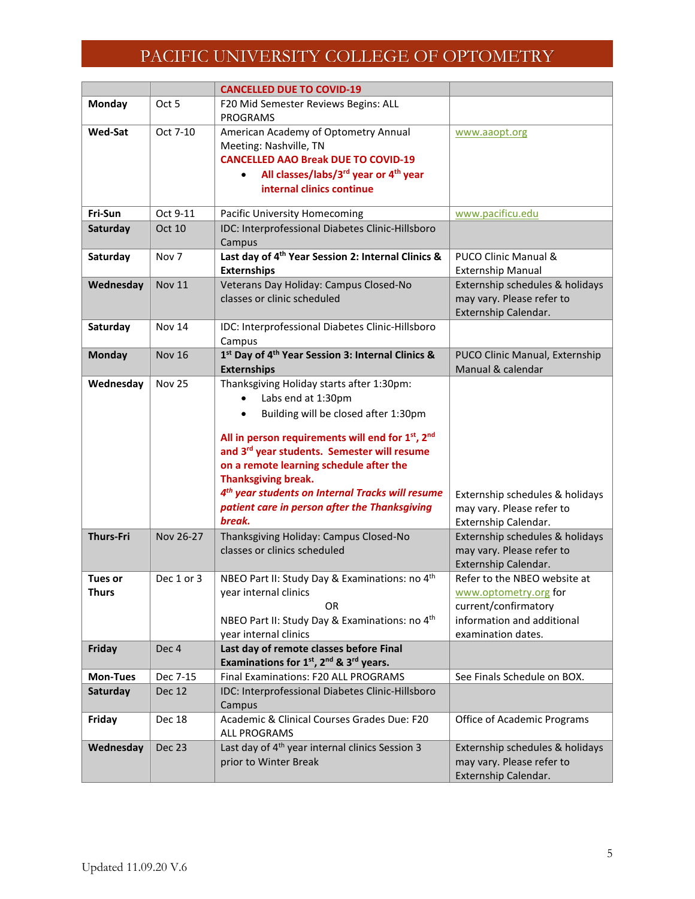|                         |                  | <b>CANCELLED DUE TO COVID-19</b>                                                                                                                                                                                                                                                                                                                                                                                                        |                                                                                                                                   |
|-------------------------|------------------|-----------------------------------------------------------------------------------------------------------------------------------------------------------------------------------------------------------------------------------------------------------------------------------------------------------------------------------------------------------------------------------------------------------------------------------------|-----------------------------------------------------------------------------------------------------------------------------------|
| Monday                  | Oct 5            | F20 Mid Semester Reviews Begins: ALL<br><b>PROGRAMS</b>                                                                                                                                                                                                                                                                                                                                                                                 |                                                                                                                                   |
| <b>Wed-Sat</b>          | Oct 7-10         | American Academy of Optometry Annual<br>Meeting: Nashville, TN<br><b>CANCELLED AAO Break DUE TO COVID-19</b><br>All classes/labs/3 <sup>rd</sup> year or 4 <sup>th</sup> year<br>$\bullet$<br>internal clinics continue                                                                                                                                                                                                                 | www.aaopt.org                                                                                                                     |
| Fri-Sun                 | Oct 9-11         | Pacific University Homecoming                                                                                                                                                                                                                                                                                                                                                                                                           | www.pacificu.edu                                                                                                                  |
| Saturday                | Oct 10           | IDC: Interprofessional Diabetes Clinic-Hillsboro<br>Campus                                                                                                                                                                                                                                                                                                                                                                              |                                                                                                                                   |
| Saturday                | Nov <sub>7</sub> | Last day of 4 <sup>th</sup> Year Session 2: Internal Clinics &<br><b>Externships</b>                                                                                                                                                                                                                                                                                                                                                    | PUCO Clinic Manual &<br><b>Externship Manual</b>                                                                                  |
| Wednesday               | <b>Nov 11</b>    | Veterans Day Holiday: Campus Closed-No<br>classes or clinic scheduled                                                                                                                                                                                                                                                                                                                                                                   | Externship schedules & holidays<br>may vary. Please refer to<br>Externship Calendar.                                              |
| Saturday                | <b>Nov 14</b>    | IDC: Interprofessional Diabetes Clinic-Hillsboro<br>Campus                                                                                                                                                                                                                                                                                                                                                                              |                                                                                                                                   |
| <b>Monday</b>           | <b>Nov 16</b>    | 1st Day of 4th Year Session 3: Internal Clinics &<br><b>Externships</b>                                                                                                                                                                                                                                                                                                                                                                 | PUCO Clinic Manual, Externship<br>Manual & calendar                                                                               |
| Wednesday               | <b>Nov 25</b>    | Thanksgiving Holiday starts after 1:30pm:<br>Labs end at 1:30pm<br>Building will be closed after 1:30pm<br>$\bullet$<br>All in person requirements will end for 1st, 2nd<br>and 3 <sup>rd</sup> year students. Semester will resume<br>on a remote learning schedule after the<br><b>Thanksgiving break.</b><br>4 <sup>th</sup> year students on Internal Tracks will resume<br>patient care in person after the Thanksgiving<br>break. | Externship schedules & holidays<br>may vary. Please refer to<br>Externship Calendar.                                              |
| <b>Thurs-Fri</b>        | Nov 26-27        | Thanksgiving Holiday: Campus Closed-No<br>classes or clinics scheduled                                                                                                                                                                                                                                                                                                                                                                  | Externship schedules & holidays<br>may vary. Please refer to<br>Externship Calendar.                                              |
| <b>Tues or</b><br>Thurs | Dec 1 or 3       | NBEO Part II: Study Day & Examinations: no 4th<br>year internal clinics<br>OR<br>NBEO Part II: Study Day & Examinations: no 4 <sup>th</sup><br>year internal clinics                                                                                                                                                                                                                                                                    | Refer to the NBEO website at<br>www.optometry.org for<br>current/confirmatory<br>information and additional<br>examination dates. |
| Friday                  | Dec 4            | Last day of remote classes before Final<br>Examinations for 1st, 2nd & 3rd years.                                                                                                                                                                                                                                                                                                                                                       |                                                                                                                                   |
| <b>Mon-Tues</b>         | Dec 7-15         | Final Examinations: F20 ALL PROGRAMS                                                                                                                                                                                                                                                                                                                                                                                                    | See Finals Schedule on BOX.                                                                                                       |
| Saturday                | Dec 12           | IDC: Interprofessional Diabetes Clinic-Hillsboro<br>Campus                                                                                                                                                                                                                                                                                                                                                                              |                                                                                                                                   |
| Friday                  | Dec 18           | Academic & Clinical Courses Grades Due: F20<br><b>ALL PROGRAMS</b>                                                                                                                                                                                                                                                                                                                                                                      | Office of Academic Programs                                                                                                       |
| Wednesday               | Dec 23           | Last day of 4 <sup>th</sup> year internal clinics Session 3<br>prior to Winter Break                                                                                                                                                                                                                                                                                                                                                    | Externship schedules & holidays<br>may vary. Please refer to<br>Externship Calendar.                                              |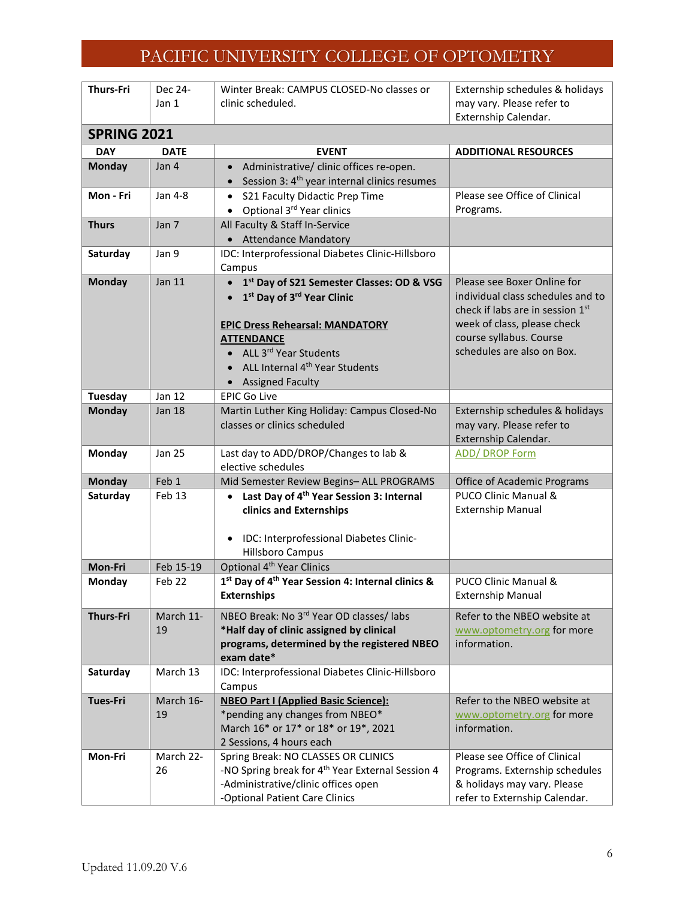| <b>Thurs-Fri</b>                | Dec 24-                 | Winter Break: CAMPUS CLOSED-No classes or                             | Externship schedules & holidays                       |
|---------------------------------|-------------------------|-----------------------------------------------------------------------|-------------------------------------------------------|
|                                 | Jan 1                   | clinic scheduled.                                                     | may vary. Please refer to                             |
|                                 |                         |                                                                       | Externship Calendar.                                  |
| <b>SPRING 2021</b>              |                         |                                                                       |                                                       |
| <b>DAY</b>                      | <b>DATE</b>             | <b>EVENT</b>                                                          | <b>ADDITIONAL RESOURCES</b>                           |
| <b>Monday</b>                   | Jan 4                   | Administrative/ clinic offices re-open.<br>$\bullet$                  |                                                       |
|                                 |                         | Session 3: 4 <sup>th</sup> year internal clinics resumes<br>$\bullet$ |                                                       |
| Mon - Fri                       | Jan 4-8                 | S21 Faculty Didactic Prep Time<br>$\bullet$                           | Please see Office of Clinical                         |
|                                 |                         | Optional 3rd Year clinics<br>$\bullet$                                | Programs.                                             |
| <b>Thurs</b>                    | Jan 7                   | All Faculty & Staff In-Service                                        |                                                       |
|                                 |                         | • Attendance Mandatory                                                |                                                       |
| Saturday                        | Jan 9                   | IDC: Interprofessional Diabetes Clinic-Hillsboro                      |                                                       |
|                                 |                         | Campus                                                                |                                                       |
| <b>Monday</b>                   | Jan 11                  | 1st Day of S21 Semester Classes: OD & VSG<br>$\bullet$                | Please see Boxer Online for                           |
|                                 |                         | 1 <sup>st</sup> Day of 3 <sup>rd</sup> Year Clinic<br>$\bullet$       | individual class schedules and to                     |
|                                 |                         |                                                                       | check if labs are in session 1st                      |
|                                 |                         | <b>EPIC Dress Rehearsal: MANDATORY</b>                                | week of class, please check                           |
|                                 |                         | <b>ATTENDANCE</b>                                                     | course syllabus. Course<br>schedules are also on Box. |
|                                 |                         | • ALL 3rd Year Students                                               |                                                       |
|                                 |                         | ALL Internal 4 <sup>th</sup> Year Students                            |                                                       |
|                                 |                         | • Assigned Faculty                                                    |                                                       |
| <b>Tuesday</b><br><b>Monday</b> | Jan 12<br><b>Jan 18</b> | <b>EPIC Go Live</b><br>Martin Luther King Holiday: Campus Closed-No   | Externship schedules & holidays                       |
|                                 |                         | classes or clinics scheduled                                          | may vary. Please refer to                             |
|                                 |                         |                                                                       | Externship Calendar.                                  |
| Monday                          | <b>Jan 25</b>           | Last day to ADD/DROP/Changes to lab &                                 | <b>ADD/ DROP Form</b>                                 |
|                                 |                         | elective schedules                                                    |                                                       |
| <b>Monday</b>                   | Feb 1                   | Mid Semester Review Begins- ALL PROGRAMS                              | Office of Academic Programs                           |
| Saturday                        | Feb 13                  | Last Day of 4 <sup>th</sup> Year Session 3: Internal<br>$\bullet$     | PUCO Clinic Manual &                                  |
|                                 |                         | clinics and Externships                                               | <b>Externship Manual</b>                              |
|                                 |                         |                                                                       |                                                       |
|                                 |                         | IDC: Interprofessional Diabetes Clinic-                               |                                                       |
|                                 |                         | <b>Hillsboro Campus</b>                                               |                                                       |
| Mon-Fri                         | Feb 15-19               | Optional 4 <sup>th</sup> Year Clinics                                 |                                                       |
| Monday                          | Feb 22                  | 1st Day of 4th Year Session 4: Internal clinics &                     | PUCO Clinic Manual &                                  |
|                                 |                         | <b>Externships</b>                                                    | <b>Externship Manual</b>                              |
| <b>Thurs-Fri</b>                | March 11-               | NBEO Break: No 3rd Year OD classes/ labs                              | Refer to the NBEO website at                          |
|                                 | 19                      | *Half day of clinic assigned by clinical                              | www.optometry.org for more                            |
|                                 |                         | programs, determined by the registered NBEO                           | information.                                          |
|                                 |                         | exam date*                                                            |                                                       |
| Saturday                        | March 13                | IDC: Interprofessional Diabetes Clinic-Hillsboro                      |                                                       |
|                                 |                         | Campus                                                                |                                                       |
| <b>Tues-Fri</b>                 | March 16-               | <b>NBEO Part I (Applied Basic Science):</b>                           | Refer to the NBEO website at                          |
|                                 | 19                      | *pending any changes from NBEO*                                       | www.optometry.org for more                            |
|                                 |                         | March 16* or 17* or 18* or 19*, 2021<br>2 Sessions, 4 hours each      | information.                                          |
| Mon-Fri                         | March 22-               | Spring Break: NO CLASSES OR CLINICS                                   | Please see Office of Clinical                         |
|                                 | 26                      | -NO Spring break for 4 <sup>th</sup> Year External Session 4          | Programs. Externship schedules                        |
|                                 |                         | -Administrative/clinic offices open                                   | & holidays may vary. Please                           |
|                                 |                         | -Optional Patient Care Clinics                                        | refer to Externship Calendar.                         |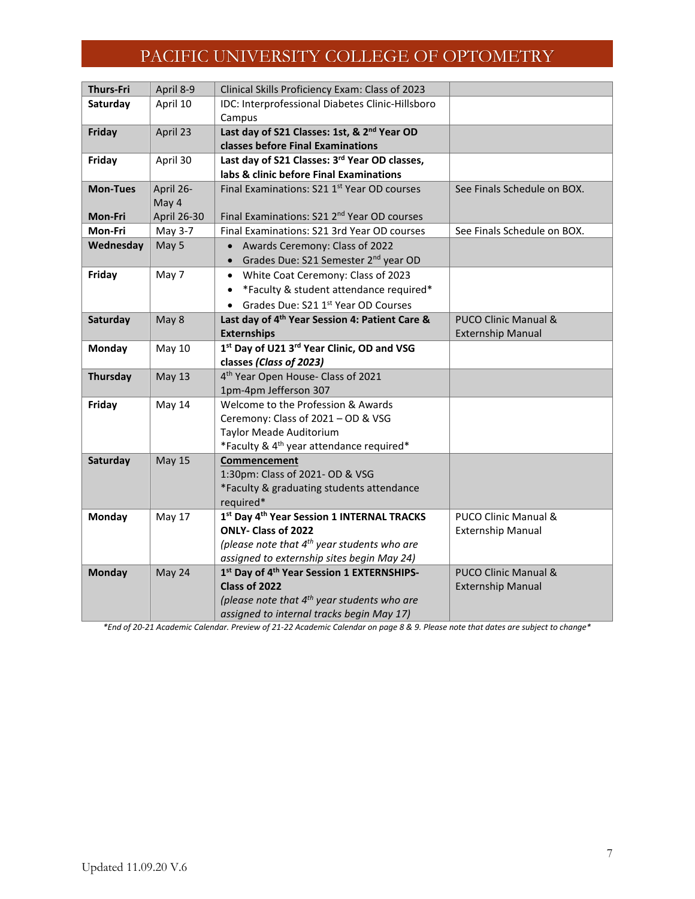| <b>Thurs-Fri</b> | April 8-9     | Clinical Skills Proficiency Exam: Class of 2023                              |                                 |
|------------------|---------------|------------------------------------------------------------------------------|---------------------------------|
| Saturday         | April 10      | IDC: Interprofessional Diabetes Clinic-Hillsboro<br>Campus                   |                                 |
| Friday           | April 23      | Last day of S21 Classes: 1st, & 2 <sup>nd</sup> Year OD                      |                                 |
|                  |               | classes before Final Examinations                                            |                                 |
| Friday           | April 30      | Last day of S21 Classes: 3rd Year OD classes,                                |                                 |
|                  |               | labs & clinic before Final Examinations                                      |                                 |
| <b>Mon-Tues</b>  | April 26-     | Final Examinations: S21 1st Year OD courses                                  | See Finals Schedule on BOX.     |
|                  | May 4         |                                                                              |                                 |
| Mon-Fri          | April 26-30   | Final Examinations: S21 2 <sup>nd</sup> Year OD courses                      |                                 |
| Mon-Fri          | May 3-7       | Final Examinations: S21 3rd Year OD courses                                  | See Finals Schedule on BOX.     |
| Wednesday        | May 5         | Awards Ceremony: Class of 2022                                               |                                 |
|                  |               | • Grades Due: S21 Semester 2 <sup>nd</sup> year OD                           |                                 |
| Friday           | May 7         | White Coat Ceremony: Class of 2023<br>$\bullet$                              |                                 |
|                  |               | *Faculty & student attendance required*                                      |                                 |
|                  |               | • Grades Due: S21 1st Year OD Courses                                        |                                 |
| Saturday         | May 8         | Last day of 4 <sup>th</sup> Year Session 4: Patient Care &                   | <b>PUCO Clinic Manual &amp;</b> |
|                  |               | <b>Externships</b>                                                           | <b>Externship Manual</b>        |
| Monday           | <b>May 10</b> | 1st Day of U21 3rd Year Clinic, OD and VSG                                   |                                 |
|                  |               | classes (Class of 2023)                                                      |                                 |
| Thursday         | <b>May 13</b> | 4 <sup>th</sup> Year Open House- Class of 2021                               |                                 |
|                  |               | 1pm-4pm Jefferson 307                                                        |                                 |
| Friday           | May 14        | Welcome to the Profession & Awards                                           |                                 |
|                  |               | Ceremony: Class of 2021 - OD & VSG                                           |                                 |
|                  |               | Taylor Meade Auditorium                                                      |                                 |
|                  |               | *Faculty & 4 <sup>th</sup> year attendance required*                         |                                 |
| Saturday         | <b>May 15</b> | Commencement                                                                 |                                 |
|                  |               | 1:30pm: Class of 2021- OD & VSG<br>*Faculty & graduating students attendance |                                 |
|                  |               | required*                                                                    |                                 |
| <b>Monday</b>    | May 17        | 1st Day 4th Year Session 1 INTERNAL TRACKS                                   | PUCO Clinic Manual &            |
|                  |               | ONLY- Class of 2022                                                          | <b>Externship Manual</b>        |
|                  |               | (please note that $4^{th}$ year students who are                             |                                 |
|                  |               | assigned to externship sites begin May 24)                                   |                                 |
| <b>Monday</b>    | May 24        | 1st Day of 4 <sup>th</sup> Year Session 1 EXTERNSHIPS-                       | <b>PUCO Clinic Manual &amp;</b> |
|                  |               | Class of 2022                                                                | <b>Externship Manual</b>        |
|                  |               | (please note that 4 <sup>th</sup> year students who are                      |                                 |
|                  |               | assigned to internal tracks begin May 17)                                    |                                 |

*\*End of 20-21 Academic Calendar. Preview of 21-22 Academic Calendar on page 8 & 9. Please note that dates are subject to change\**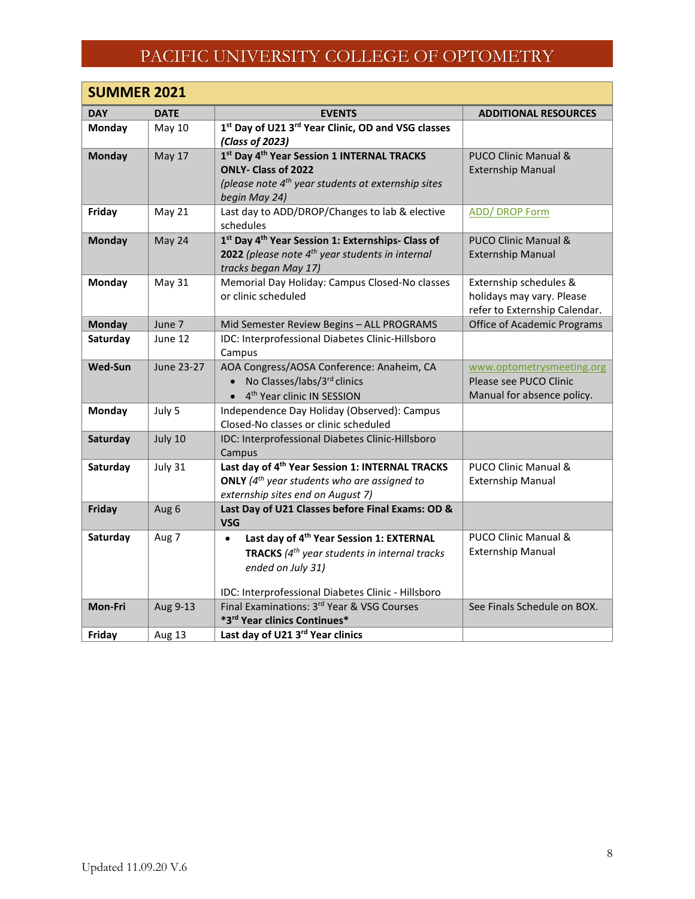| <b>SUMMER 2021</b> |               |                                                                                           |                                                            |
|--------------------|---------------|-------------------------------------------------------------------------------------------|------------------------------------------------------------|
| <b>DAY</b>         | <b>DATE</b>   | <b>EVENTS</b>                                                                             | <b>ADDITIONAL RESOURCES</b>                                |
| Monday             | May 10        | 1st Day of U21 3rd Year Clinic, OD and VSG classes                                        |                                                            |
|                    |               | (Class of 2023)                                                                           |                                                            |
| <b>Monday</b>      | <b>May 17</b> | 1st Day 4th Year Session 1 INTERNAL TRACKS                                                | PUCO Clinic Manual &                                       |
|                    |               | <b>ONLY- Class of 2022</b>                                                                | <b>Externship Manual</b>                                   |
|                    |               | (please note $4^{th}$ year students at externship sites<br>begin May 24)                  |                                                            |
| Friday             | May 21        | Last day to ADD/DROP/Changes to lab & elective                                            | <b>ADD/ DROP Form</b>                                      |
|                    |               | schedules                                                                                 |                                                            |
| <b>Monday</b>      | May 24        | 1st Day 4 <sup>th</sup> Year Session 1: Externships- Class of                             | <b>PUCO Clinic Manual &amp;</b>                            |
|                    |               | 2022 (please note 4 <sup>th</sup> year students in internal                               | <b>Externship Manual</b>                                   |
|                    |               | tracks began May 17)                                                                      |                                                            |
| Monday             | May 31        | Memorial Day Holiday: Campus Closed-No classes<br>or clinic scheduled                     | Externship schedules &                                     |
|                    |               |                                                                                           | holidays may vary. Please<br>refer to Externship Calendar. |
| <b>Monday</b>      | June 7        | Mid Semester Review Begins - ALL PROGRAMS                                                 | <b>Office of Academic Programs</b>                         |
| Saturday           | June 12       | IDC: Interprofessional Diabetes Clinic-Hillsboro                                          |                                                            |
|                    |               | Campus                                                                                    |                                                            |
| <b>Wed-Sun</b>     | June 23-27    | AOA Congress/AOSA Conference: Anaheim, CA                                                 | www.optometrysmeeting.org                                  |
|                    |               | • No Classes/labs/3rd clinics                                                             | Please see PUCO Clinic                                     |
|                    |               | • 4 <sup>th</sup> Year clinic IN SESSION                                                  | Manual for absence policy.                                 |
| <b>Monday</b>      | July 5        | Independence Day Holiday (Observed): Campus                                               |                                                            |
| Saturday           | July 10       | Closed-No classes or clinic scheduled<br>IDC: Interprofessional Diabetes Clinic-Hillsboro |                                                            |
|                    |               | Campus                                                                                    |                                                            |
| Saturday           | July 31       | Last day of 4 <sup>th</sup> Year Session 1: INTERNAL TRACKS                               | PUCO Clinic Manual &                                       |
|                    |               | <b>ONLY</b> ( $4^{th}$ year students who are assigned to                                  | <b>Externship Manual</b>                                   |
|                    |               | externship sites end on August 7)                                                         |                                                            |
| Friday             | Aug 6         | Last Day of U21 Classes before Final Exams: OD &<br><b>VSG</b>                            |                                                            |
| Saturday           | Aug 7         | Last day of 4 <sup>th</sup> Year Session 1: EXTERNAL<br>$\bullet$                         | PUCO Clinic Manual &                                       |
|                    |               | <b>TRACKS</b> ( $4^{th}$ year students in internal tracks                                 | <b>Externship Manual</b>                                   |
|                    |               | ended on July 31)                                                                         |                                                            |
|                    |               | IDC: Interprofessional Diabetes Clinic - Hillsboro                                        |                                                            |
| Mon-Fri            | Aug 9-13      | Final Examinations: 3rd Year & VSG Courses                                                | See Finals Schedule on BOX.                                |
|                    |               | *3rd Year clinics Continues*                                                              |                                                            |
| Friday             | Aug 13        | Last day of U21 3rd Year clinics                                                          |                                                            |